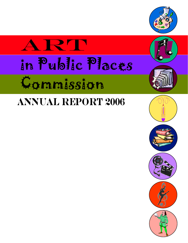

# RT in Public Places Commission

## **Annual Report 2006**

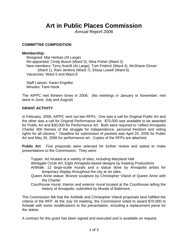### **Art in Public Places Commission**

*Annual Report 2006* 

#### **COMMITTEE COMPOSITION**

#### **Membership**:

Resigned: Mat Herban (At Large). Re-appointed: Cindy Busch (Ward 3), Nina Fisher (Ward 2). New members: Terry Averill (At Large), Tom Fridrich (Ward 4), McShane Glover (Ward 1), Rani Jenkins (Ward 7), Elissa Lowell (Ward 6) Vacancies: Ward 5 and Ward 8

Staff Liaison: Karen Engelke Minutes: Tami Hook

The AIPPC met thirteen times in 2006. (No meetings in January or November; met twice in June, July and August)

#### **GRANT ACTIVITY**

In February, 2006, AIPPC sent out two RFPs. One was a call for Original Public Art and the other was a call for Original Performance Art. \$70,000 was available to be awarded for Public Art and \$30,000 for Performance Art. Both were required to "reflect Annapolis Charter 300 themes of the struggle for independence, personal freedom and voting rights for all citizens." Deadline for submission of packets was April 20, 2006 for Public Art and May 26, 2006 for performance art. Copies of the RFPs are attached.

**Public Art**: Five proposals were selected for further review and asked to make presentations to the Commission. They were:

Tupper: Art located at a variety of sites, including Maryland Hall

Westgate Circle Art: Eight Annapolis-based designs by Keating Productions

- ArtWalk: 12 large-scale murals and a statue done by Annapolis artists for temporary display throughout the city at six sites.
- Queen Anne statue: Bronze sculpture by Christopher Vilardi of Queen Anne with the Charter.
- Courthouse mural: Interior and exterior mural located at the Courthouse telling the history of Annapolis; submitted by Murals of Baltimore.

The Commission felt that the ArtWalk and Christopher Vilardi proposals best fulfilled the criteria of the RFP. At the July 24 meeting, the Commission voted to award \$70.000 to Artwalk with some modifications to the presentation, including a replacement piece for the statue.

A contract for this grant has been signed and executed and is available on request.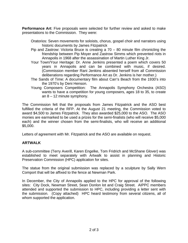**Performance Art**: Five proposals were selected for further review and asked to make presentations to the Commission. They were:

- Oratorios: Seven movements for soloists, chorus, gospel choir and narrators using historic documents by James Fitzpatrick
- Pip and Zastrow: Victoria Bruce is creating a 70 80 minute film chronicling the friendship between Pip Moyer and Zastrow Simms which prevented riots in Annapolis in 1968 after the assassination of Martin Luther King Jr.
- Your Town/Your Heritage: Dr. Anne Jenkins presented a poem which covers 50 years in Annapolis and can be combined with music, if desired. (Commission member Rani Jenkins absented herself from all Commission deliberations regarding Performance Art as Dr. Jenkins is her mother.)
- The Sands of Time: A documentary film about Carr's Beach from the 1930's into the 1970's by Deni Henson.
- Young Composers Competition: The Annapolis Symphony Orchestra (ASO) wants to have a competition for young composers, ages 18 to 35, to create an  $8 - 12$  minute symphony.

The Commission felt that the proposals from James Fitzpatrick and the ASO best fulfilled the criteria of the RFP. At the August 21 meeting, the Commission voted to award \$4,500 to James Fitzpatrick. They also awarded \$25,000 to the ASO. The ASO monies are earmarked to be used a prizes for the semi-finalists (who will receive \$5,000 each) and the winner chosen from the semi-finalists, who will receive an additional \$5,000.

Letters of agreement with Mr. Fitzpatrick and the ASO are available on request.

#### **ARTWALK**

A sub-committee (Terry Averill, Karen Engelke, Tom Fridrich and McShane Glover) was established to meet separately with Artwalk to assist in planning and Historic Preservation Commission (HPC) application for sites.

The statue from the original submission was replaced by a sculpture by Sally Wern Comport that will be affixed to the fence at Newman Park.

In December, the City of Annapolis applied to the HPC for approval of the following sites: City Dock, Newman Street, Sean Donlon lot and Craig Street. AIPPC members attended and supported the submission to HPC, including providing a letter sent with the submission. (Copy attached) HPC heard testimony from several citizens, all of whom supported the application.